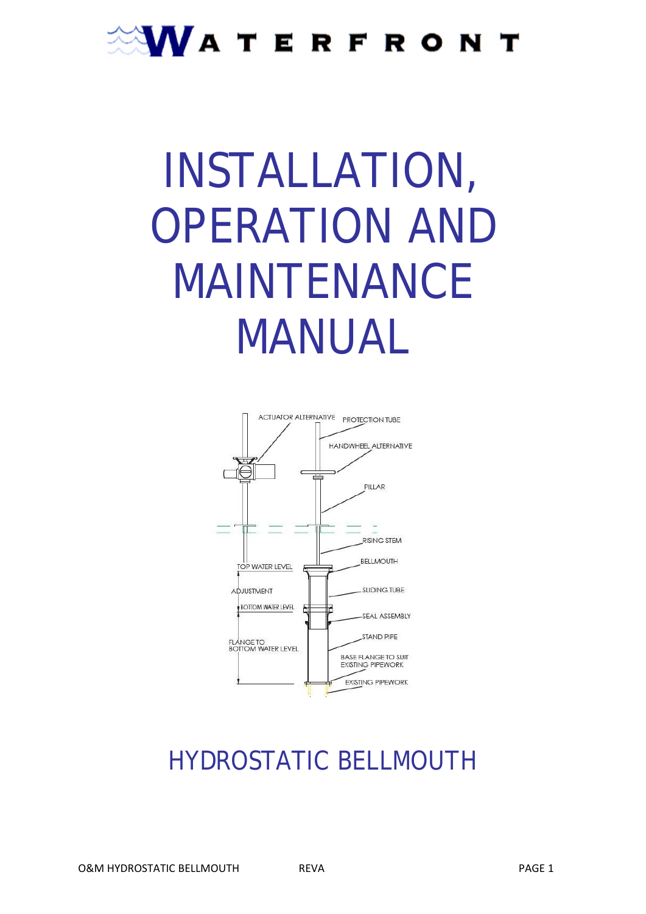### **WATERFRONT**

# INSTALLATION, OPERATION AND MAINTENANCE MANUAL



### HYDROSTATIC BELLMOUTH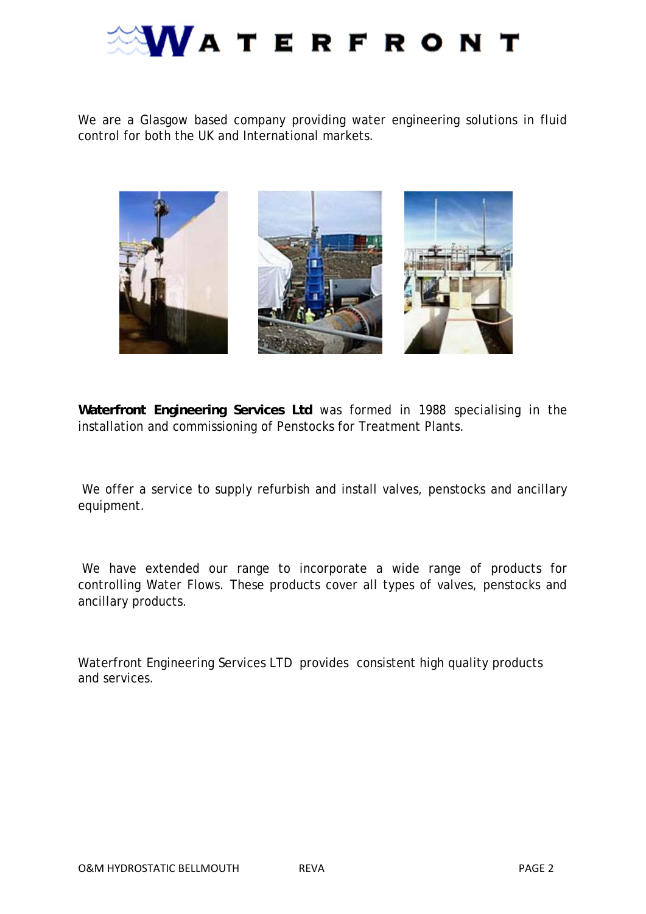

We are a Glasgow based company providing water engineering solutions in fluid control for both the UK and International markets.



**Waterfront Engineering Services Ltd** was formed in 1988 specialising in the installation and commissioning of Penstocks for Treatment Plants.

We offer a service to supply refurbish and install valves, penstocks and ancillary equipment.

 We have extended our range to incorporate a wide range of products for controlling Water Flows. These products cover all types of valves, penstocks and ancillary products.

Waterfront Engineering Services LTD provides consistent high quality products and services.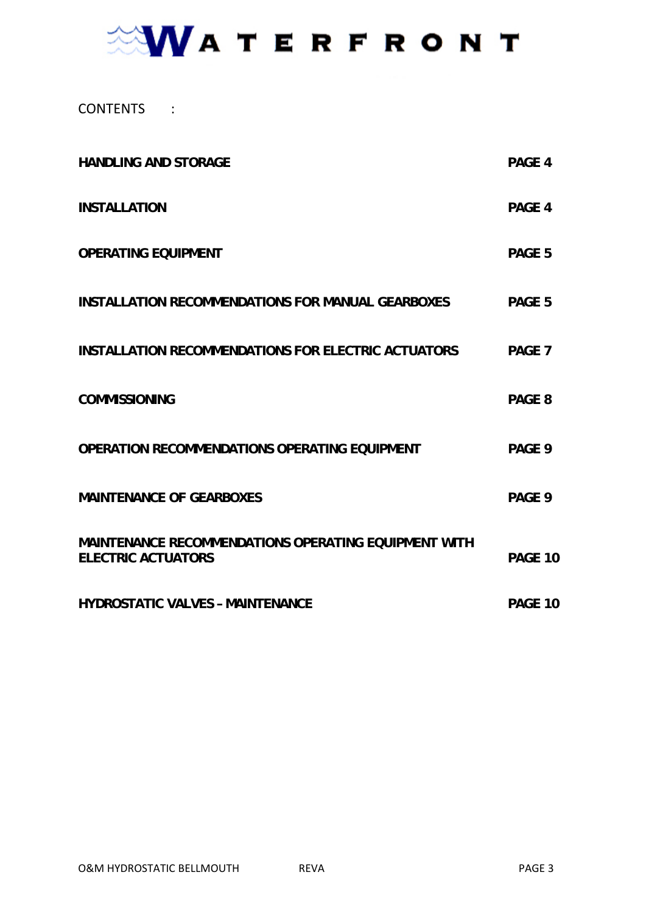### **NVATERFRONT**

CONTENTS :

| <b>HANDLING AND STORAGE</b>                                                              | PAGE 4            |
|------------------------------------------------------------------------------------------|-------------------|
| <b>INSTALLATION</b>                                                                      | PAGE 4            |
| <b>OPERATING EQUIPMENT</b>                                                               | PAGE 5            |
| <b>INSTALLATION RECOMMENDATIONS FOR MANUAL GEARBOXES</b>                                 | PAGE 5            |
| <b>INSTALLATION RECOMMENDATIONS FOR ELECTRIC ACTUATORS</b>                               | PAGE <sub>7</sub> |
| <b>COMMISSIONING</b>                                                                     | PAGE 8            |
| OPERATION RECOMMENDATIONS OPERATING EQUIPMENT                                            | PAGE 9            |
| <b>MAINTENANCE OF GEARBOXES</b>                                                          | PAGE 9            |
| <b>MAINTENANCE RECOMMENDATIONS OPERATING EQUIPMENT WITH</b><br><b>ELECTRIC ACTUATORS</b> | PAGE 10           |
| <b>HYDROSTATIC VALVES - MAINTENANCE</b>                                                  | PAGE 10           |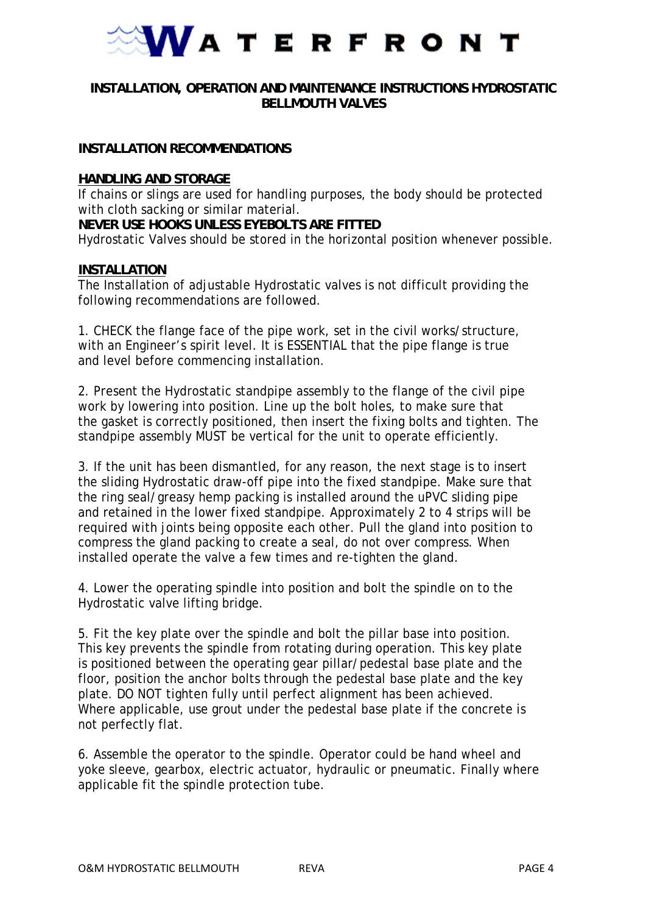

#### **INSTALLATION, OPERATION AND MAINTENANCE INSTRUCTIONS HYDROSTATIC BELLMOUTH VALVES**

#### **INSTALLATION RECOMMENDATIONS**

#### **HANDLING AND STORAGE**

If chains or slings are used for handling purposes, the body should be protected with cloth sacking or similar material.

**NEVER USE HOOKS UNLESS EYEBOLTS ARE FITTED**

Hydrostatic Valves should be stored in the horizontal position whenever possible.

#### **INSTALLATION**

The Installation of adjustable Hydrostatic valves is not difficult providing the following recommendations are followed.

1. CHECK the flange face of the pipe work, set in the civil works/structure, with an Engineer's spirit level. It is ESSENTIAL that the pipe flange is true and level before commencing installation.

2. Present the Hydrostatic standpipe assembly to the flange of the civil pipe work by lowering into position. Line up the bolt holes, to make sure that the gasket is correctly positioned, then insert the fixing bolts and tighten. The standpipe assembly MUST be vertical for the unit to operate efficiently.

3. If the unit has been dismantled, for any reason, the next stage is to insert the sliding Hydrostatic draw-off pipe into the fixed standpipe. Make sure that the ring seal/greasy hemp packing is installed around the uPVC sliding pipe and retained in the lower fixed standpipe. Approximately 2 to 4 strips will be required with joints being opposite each other. Pull the gland into position to compress the gland packing to create a seal, do not over compress. When installed operate the valve a few times and re-tighten the gland.

4. Lower the operating spindle into position and bolt the spindle on to the Hydrostatic valve lifting bridge.

5. Fit the key plate over the spindle and bolt the pillar base into position. This key prevents the spindle from rotating during operation. This key plate is positioned between the operating gear pillar/pedestal base plate and the floor, position the anchor bolts through the pedestal base plate and the key plate. DO NOT tighten fully until perfect alignment has been achieved. Where applicable, use grout under the pedestal base plate if the concrete is not perfectly flat.

6. Assemble the operator to the spindle. Operator could be hand wheel and yoke sleeve, gearbox, electric actuator, hydraulic or pneumatic. Finally where applicable fit the spindle protection tube.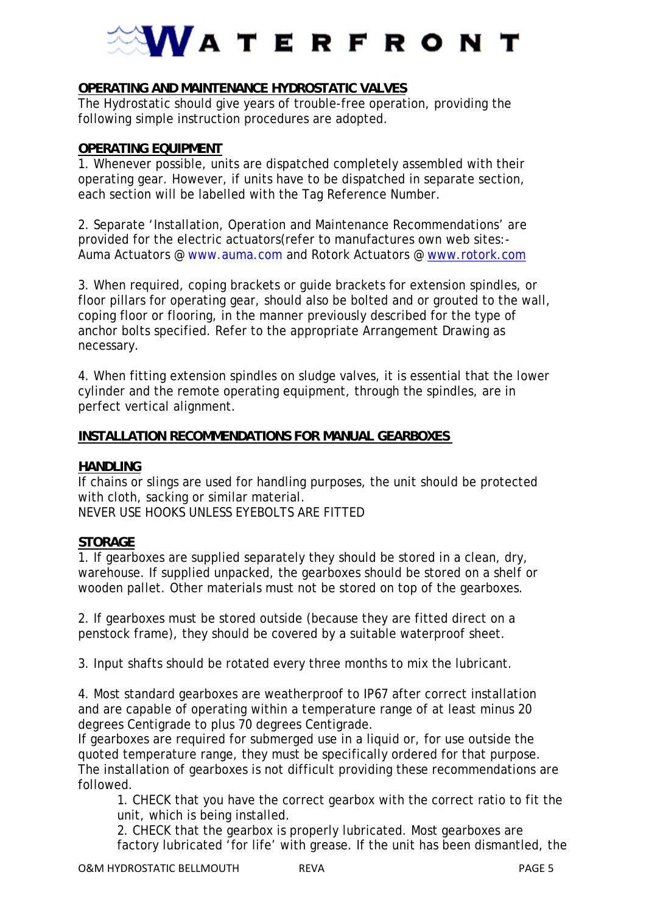# **VATERFRONT**

#### **OPERATING AND MAINTENANCE HYDROSTATIC VALVES**

The Hydrostatic should give years of trouble-free operation, providing the following simple instruction procedures are adopted.

#### **OPERATING EQUIPMENT**

1. Whenever possible, units are dispatched completely assembled with their operating gear. However, if units have to be dispatched in separate section, each section will be labelled with the Tag Reference Number.

2. Separate 'Installation, Operation and Maintenance Recommendations' are provided for the electric actuators(refer to manufactures own web sites:- Auma Actuators @ www.auma.com and Rotork Actuators @ www.rotork.com

3. When required, coping brackets or guide brackets for extension spindles, or floor pillars for operating gear, should also be bolted and or grouted to the wall, coping floor or flooring, in the manner previously described for the type of anchor bolts specified. Refer to the appropriate Arrangement Drawing as necessary.

4. When fitting extension spindles on sludge valves, it is essential that the lower cylinder and the remote operating equipment, through the spindles, are in perfect vertical alignment.

#### **INSTALLATION RECOMMENDATIONS FOR MANUAL GEARBOXES**

#### **HANDLING**

If chains or slings are used for handling purposes, the unit should be protected with cloth, sacking or similar material. NEVER USE HOOKS UNLESS EYEBOLTS ARE FITTED

#### **STORAGE**

1. If gearboxes are supplied separately they should be stored in a clean, dry, warehouse. If supplied unpacked, the gearboxes should be stored on a shelf or wooden pallet. Other materials must not be stored on top of the gearboxes.

2. If gearboxes must be stored outside (because they are fitted direct on a penstock frame), they should be covered by a suitable waterproof sheet.

3. Input shafts should be rotated every three months to mix the lubricant.

4. Most standard gearboxes are weatherproof to IP67 after correct installation and are capable of operating within a temperature range of at least minus 20 degrees Centigrade to plus 70 degrees Centigrade.

If gearboxes are required for submerged use in a liquid or, for use outside the quoted temperature range, they must be specifically ordered for that purpose. The installation of gearboxes is not difficult providing these recommendations are followed.

1. CHECK that you have the correct gearbox with the correct ratio to fit the unit, which is being installed.

2. CHECK that the gearbox is properly lubricated. Most gearboxes are factory lubricated 'for life' with grease. If the unit has been dismantled, the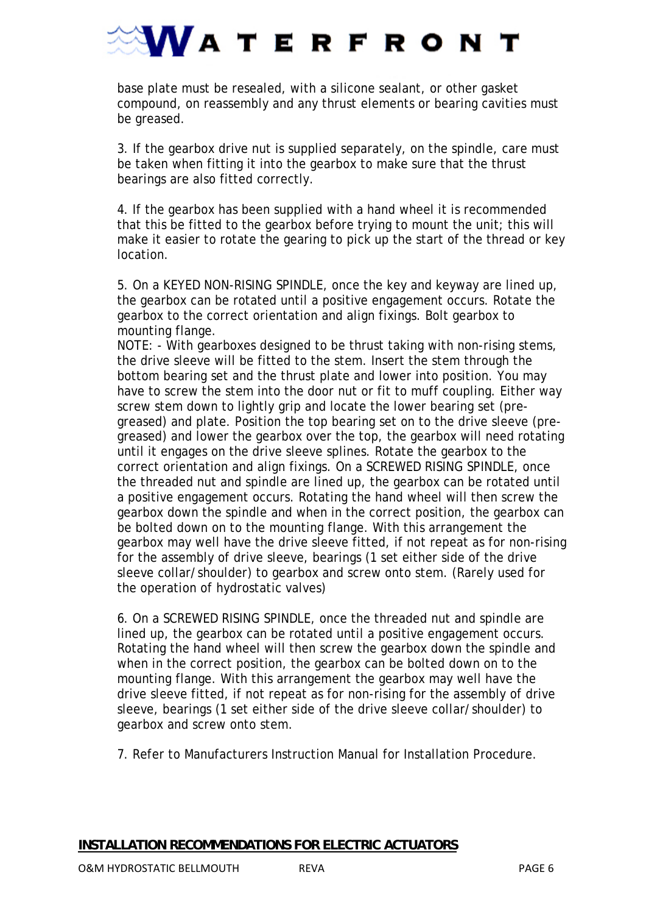

base plate must be resealed, with a silicone sealant, or other gasket compound, on reassembly and any thrust elements or bearing cavities must be greased.

3. If the gearbox drive nut is supplied separately, on the spindle, care must be taken when fitting it into the gearbox to make sure that the thrust bearings are also fitted correctly.

4. If the gearbox has been supplied with a hand wheel it is recommended that this be fitted to the gearbox before trying to mount the unit; this will make it easier to rotate the gearing to pick up the start of the thread or key location.

5. On a KEYED NON-RISING SPINDLE, once the key and keyway are lined up, the gearbox can be rotated until a positive engagement occurs. Rotate the gearbox to the correct orientation and align fixings. Bolt gearbox to mounting flange.

NOTE: - With gearboxes designed to be thrust taking with non-rising stems, the drive sleeve will be fitted to the stem. Insert the stem through the bottom bearing set and the thrust plate and lower into position. You may have to screw the stem into the door nut or fit to muff coupling. Either way screw stem down to lightly grip and locate the lower bearing set (pregreased) and plate. Position the top bearing set on to the drive sleeve (pregreased) and lower the gearbox over the top, the gearbox will need rotating until it engages on the drive sleeve splines. Rotate the gearbox to the correct orientation and align fixings. On a SCREWED RISING SPINDLE, once the threaded nut and spindle are lined up, the gearbox can be rotated until a positive engagement occurs. Rotating the hand wheel will then screw the gearbox down the spindle and when in the correct position, the gearbox can be bolted down on to the mounting flange. With this arrangement the gearbox may well have the drive sleeve fitted, if not repeat as for non-rising for the assembly of drive sleeve, bearings (1 set either side of the drive sleeve collar/shoulder) to gearbox and screw onto stem. (Rarely used for the operation of hydrostatic valves)

6. On a SCREWED RISING SPINDLE, once the threaded nut and spindle are lined up, the gearbox can be rotated until a positive engagement occurs. Rotating the hand wheel will then screw the gearbox down the spindle and when in the correct position, the gearbox can be bolted down on to the mounting flange. With this arrangement the gearbox may well have the drive sleeve fitted, if not repeat as for non-rising for the assembly of drive sleeve, bearings (1 set either side of the drive sleeve collar/shoulder) to gearbox and screw onto stem.

7. Refer to Manufacturers Instruction Manual for Installation Procedure.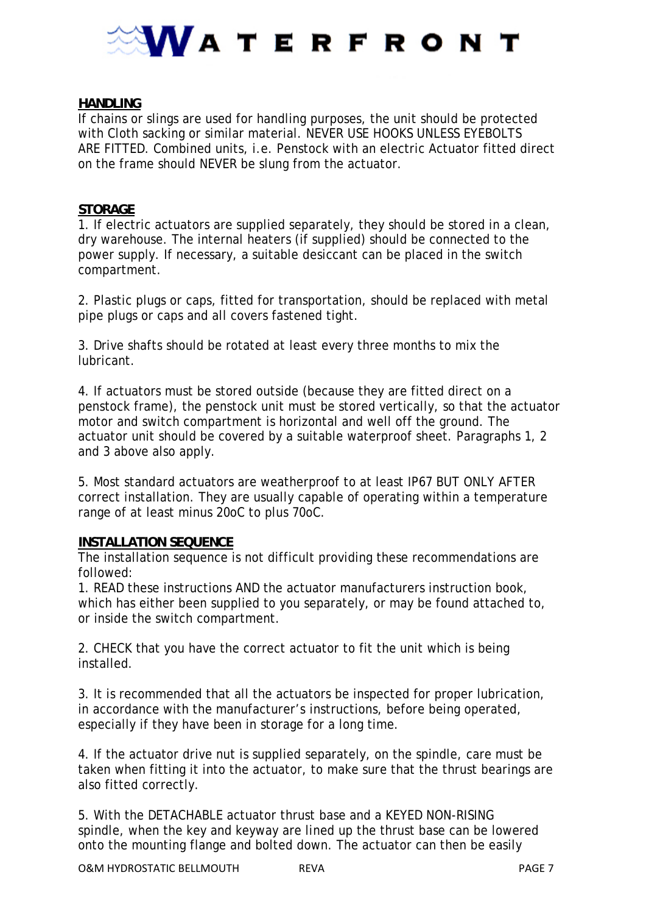

#### **HANDLING**

If chains or slings are used for handling purposes, the unit should be protected with Cloth sacking or similar material. NEVER USE HOOKS UNLESS EYEBOLTS ARE FITTED. Combined units, i.e. Penstock with an electric Actuator fitted direct on the frame should NEVER be slung from the actuator.

#### **STORAGE**

1. If electric actuators are supplied separately, they should be stored in a clean, dry warehouse. The internal heaters (if supplied) should be connected to the power supply. If necessary, a suitable desiccant can be placed in the switch compartment.

2. Plastic plugs or caps, fitted for transportation, should be replaced with metal pipe plugs or caps and all covers fastened tight.

3. Drive shafts should be rotated at least every three months to mix the lubricant.

4. If actuators must be stored outside (because they are fitted direct on a penstock frame), the penstock unit must be stored vertically, so that the actuator motor and switch compartment is horizontal and well off the ground. The actuator unit should be covered by a suitable waterproof sheet. Paragraphs 1, 2 and 3 above also apply.

5. Most standard actuators are weatherproof to at least IP67 BUT ONLY AFTER correct installation. They are usually capable of operating within a temperature range of at least minus 20oC to plus 70oC.

#### **INSTALLATION SEQUENCE**

The installation sequence is not difficult providing these recommendations are followed:

1. READ these instructions AND the actuator manufacturers instruction book, which has either been supplied to you separately, or may be found attached to, or inside the switch compartment.

2. CHECK that you have the correct actuator to fit the unit which is being installed.

3. It is recommended that all the actuators be inspected for proper lubrication, in accordance with the manufacturer's instructions, before being operated, especially if they have been in storage for a long time.

4. If the actuator drive nut is supplied separately, on the spindle, care must be taken when fitting it into the actuator, to make sure that the thrust bearings are also fitted correctly.

5. With the DETACHABLE actuator thrust base and a KEYED NON-RISING spindle, when the key and keyway are lined up the thrust base can be lowered onto the mounting flange and bolted down. The actuator can then be easily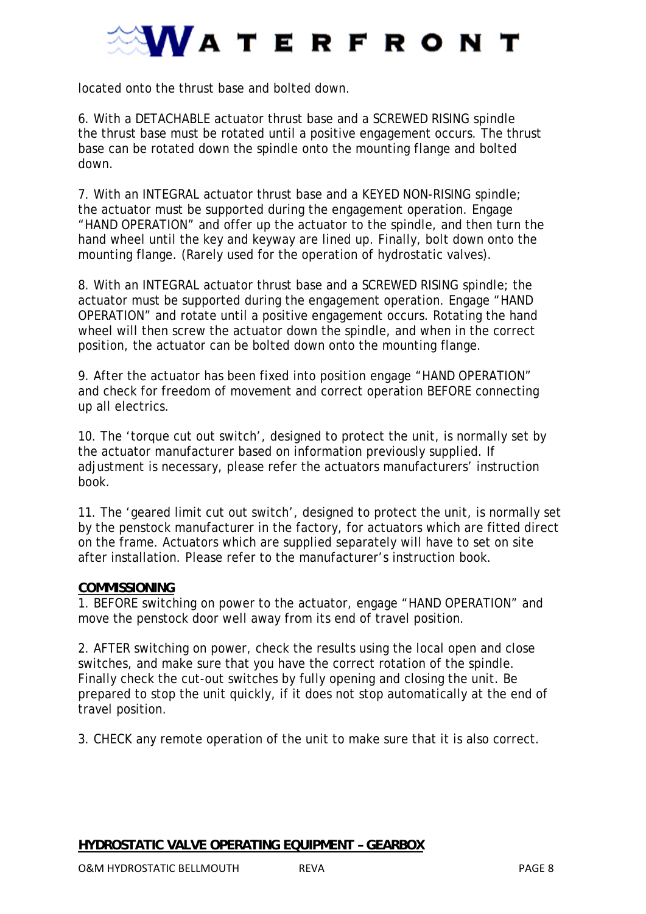

located onto the thrust base and bolted down.

6. With a DETACHABLE actuator thrust base and a SCREWED RISING spindle the thrust base must be rotated until a positive engagement occurs. The thrust base can be rotated down the spindle onto the mounting flange and bolted down.

7. With an INTEGRAL actuator thrust base and a KEYED NON-RISING spindle; the actuator must be supported during the engagement operation. Engage "HAND OPERATION" and offer up the actuator to the spindle, and then turn the hand wheel until the key and keyway are lined up. Finally, bolt down onto the mounting flange. (Rarely used for the operation of hydrostatic valves).

8. With an INTEGRAL actuator thrust base and a SCREWED RISING spindle; the actuator must be supported during the engagement operation. Engage "HAND OPERATION" and rotate until a positive engagement occurs. Rotating the hand wheel will then screw the actuator down the spindle, and when in the correct position, the actuator can be bolted down onto the mounting flange.

9. After the actuator has been fixed into position engage "HAND OPERATION" and check for freedom of movement and correct operation BEFORE connecting up all electrics.

10. The 'torque cut out switch', designed to protect the unit, is normally set by the actuator manufacturer based on information previously supplied. If adjustment is necessary, please refer the actuators manufacturers' instruction book.

11. The 'geared limit cut out switch', designed to protect the unit, is normally set by the penstock manufacturer in the factory, for actuators which are fitted direct on the frame. Actuators which are supplied separately will have to set on site after installation. Please refer to the manufacturer's instruction book.

#### **COMMISSIONING**

1. BEFORE switching on power to the actuator, engage "HAND OPERATION" and move the penstock door well away from its end of travel position.

2. AFTER switching on power, check the results using the local open and close switches, and make sure that you have the correct rotation of the spindle. Finally check the cut-out switches by fully opening and closing the unit. Be prepared to stop the unit quickly, if it does not stop automatically at the end of travel position.

3. CHECK any remote operation of the unit to make sure that it is also correct.

#### **HYDROSTATIC VALVE OPERATING EQUIPMENT – GEARBOX**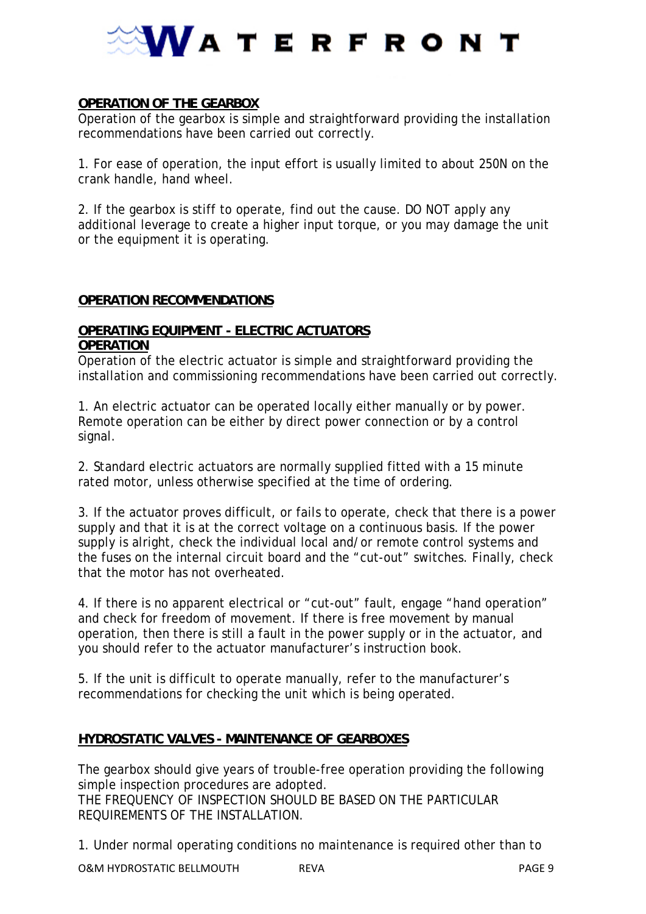

#### **OPERATION OF THE GEARBOX**

Operation of the gearbox is simple and straightforward providing the installation recommendations have been carried out correctly.

1. For ease of operation, the input effort is usually limited to about 250N on the crank handle, hand wheel.

2. If the gearbox is stiff to operate, find out the cause. DO NOT apply any additional leverage to create a higher input torque, or you may damage the unit or the equipment it is operating.

#### **OPERATION RECOMMENDATIONS**

#### **OPERATING EQUIPMENT - ELECTRIC ACTUATORS OPERATION**

Operation of the electric actuator is simple and straightforward providing the installation and commissioning recommendations have been carried out correctly.

1. An electric actuator can be operated locally either manually or by power. Remote operation can be either by direct power connection or by a control signal.

2. Standard electric actuators are normally supplied fitted with a 15 minute rated motor, unless otherwise specified at the time of ordering.

3. If the actuator proves difficult, or fails to operate, check that there is a power supply and that it is at the correct voltage on a continuous basis. If the power supply is alright, check the individual local and/or remote control systems and the fuses on the internal circuit board and the "cut-out" switches. Finally, check that the motor has not overheated.

4. If there is no apparent electrical or "cut-out" fault, engage "hand operation" and check for freedom of movement. If there is free movement by manual operation, then there is still a fault in the power supply or in the actuator, and you should refer to the actuator manufacturer's instruction book.

5. If the unit is difficult to operate manually, refer to the manufacturer's recommendations for checking the unit which is being operated.

#### **HYDROSTATIC VALVES - MAINTENANCE OF GEARBOXES**

The gearbox should give years of trouble-free operation providing the following simple inspection procedures are adopted. THE FREQUENCY OF INSPECTION SHOULD BE BASED ON THE PARTICULAR REQUIREMENTS OF THE INSTALLATION.

1. Under normal operating conditions no maintenance is required other than to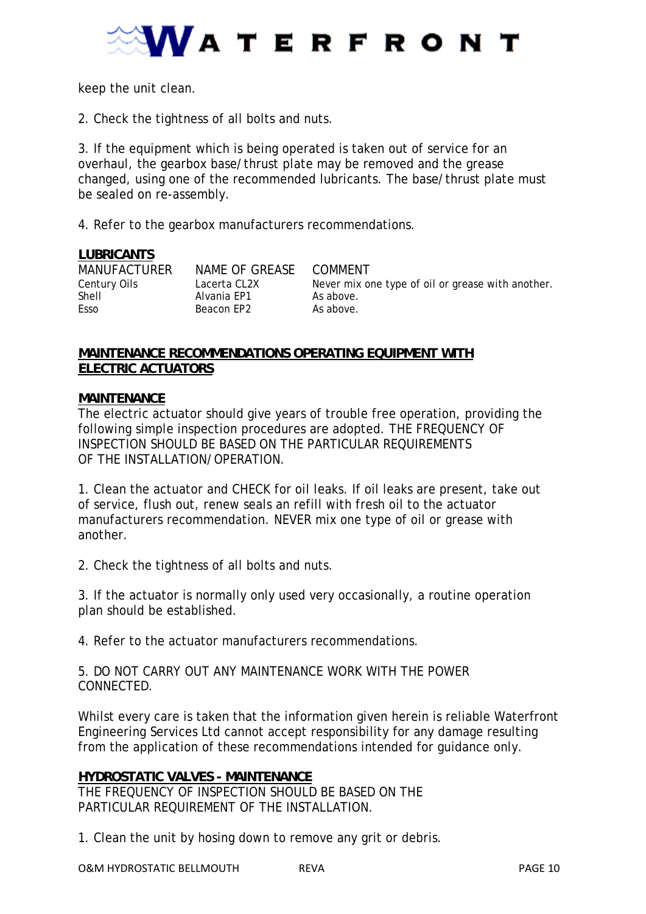

keep the unit clean.

2. Check the tightness of all bolts and nuts.

3. If the equipment which is being operated is taken out of service for an overhaul, the gearbox base/thrust plate may be removed and the grease changed, using one of the recommended lubricants. The base/thrust plate must be sealed on re-assembly.

4. Refer to the gearbox manufacturers recommendations.

#### **LUBRICANTS**

MANUFACTURER NAME OF GREASE COMMENT<br>Century Oils Lacerta CL2X Never mix o

Shell **Alvania EP1** As above. Esso Beacon EP2 As above.

Century Oils Lacerta CL2X Never mix one type of oil or grease with another.

#### **MAINTENANCE RECOMMENDATIONS OPERATING EQUIPMENT WITH ELECTRIC ACTUATORS**

#### **MAINTENANCE**

The electric actuator should give years of trouble free operation, providing the following simple inspection procedures are adopted. THE FREQUENCY OF INSPECTION SHOULD BE BASED ON THE PARTICULAR REQUIREMENTS OF THE INSTALLATION/OPERATION.

1. Clean the actuator and CHECK for oil leaks. If oil leaks are present, take out of service, flush out, renew seals an refill with fresh oil to the actuator manufacturers recommendation. NEVER mix one type of oil or grease with another.

2. Check the tightness of all bolts and nuts.

3. If the actuator is normally only used very occasionally, a routine operation plan should be established.

4. Refer to the actuator manufacturers recommendations.

5. DO NOT CARRY OUT ANY MAINTENANCE WORK WITH THE POWER **CONNECTED.** 

Whilst every care is taken that the information given herein is reliable Waterfront Engineering Services Ltd cannot accept responsibility for any damage resulting from the application of these recommendations intended for guidance only.

#### **HYDROSTATIC VALVES - MAINTENANCE**

THE FREQUENCY OF INSPECTION SHOULD BE BASED ON THE PARTICULAR REQUIREMENT OF THE INSTALLATION.

1. Clean the unit by hosing down to remove any grit or debris.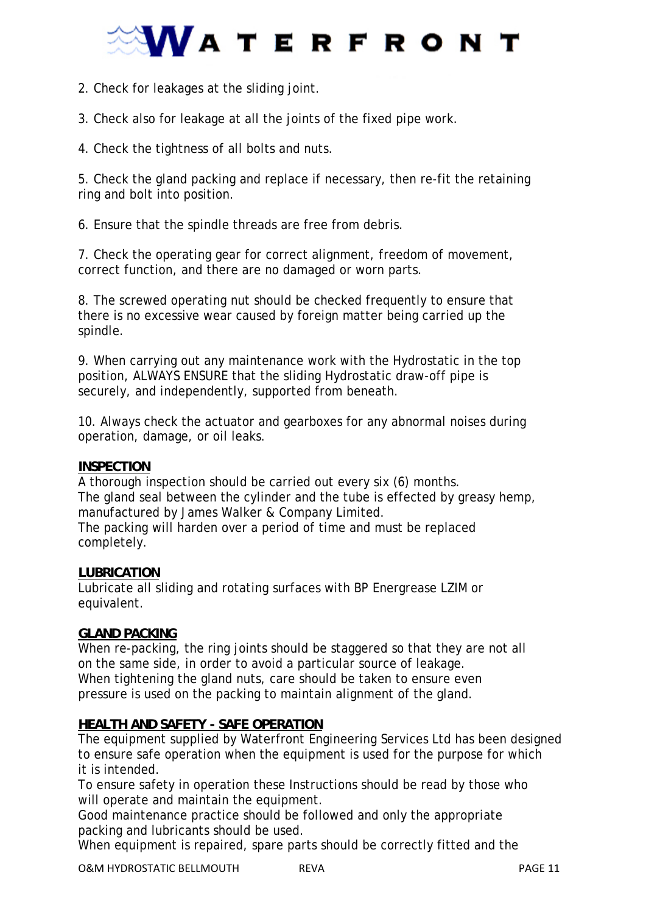## **VATERFRONT**

2. Check for leakages at the sliding joint.

3. Check also for leakage at all the joints of the fixed pipe work.

4. Check the tightness of all bolts and nuts.

5. Check the gland packing and replace if necessary, then re-fit the retaining ring and bolt into position.

6. Ensure that the spindle threads are free from debris.

7. Check the operating gear for correct alignment, freedom of movement, correct function, and there are no damaged or worn parts.

8. The screwed operating nut should be checked frequently to ensure that there is no excessive wear caused by foreign matter being carried up the spindle.

9. When carrying out any maintenance work with the Hydrostatic in the top position, ALWAYS ENSURE that the sliding Hydrostatic draw-off pipe is securely, and independently, supported from beneath.

10. Always check the actuator and gearboxes for any abnormal noises during operation, damage, or oil leaks.

#### **INSPECTION**

A thorough inspection should be carried out every six (6) months. The gland seal between the cylinder and the tube is effected by greasy hemp, manufactured by James Walker & Company Limited. The packing will harden over a period of time and must be replaced

completely.

#### **LUBRICATION**

Lubricate all sliding and rotating surfaces with BP Energrease LZIM or equivalent.

#### **GLAND PACKING**

When re-packing, the ring joints should be staggered so that they are not all on the same side, in order to avoid a particular source of leakage. When tightening the gland nuts, care should be taken to ensure even pressure is used on the packing to maintain alignment of the gland.

#### **HEALTH AND SAFETY - SAFE OPERATION**

The equipment supplied by Waterfront Engineering Services Ltd has been designed to ensure safe operation when the equipment is used for the purpose for which it is intended.

To ensure safety in operation these Instructions should be read by those who will operate and maintain the equipment.

Good maintenance practice should be followed and only the appropriate packing and lubricants should be used.

When equipment is repaired, spare parts should be correctly fitted and the